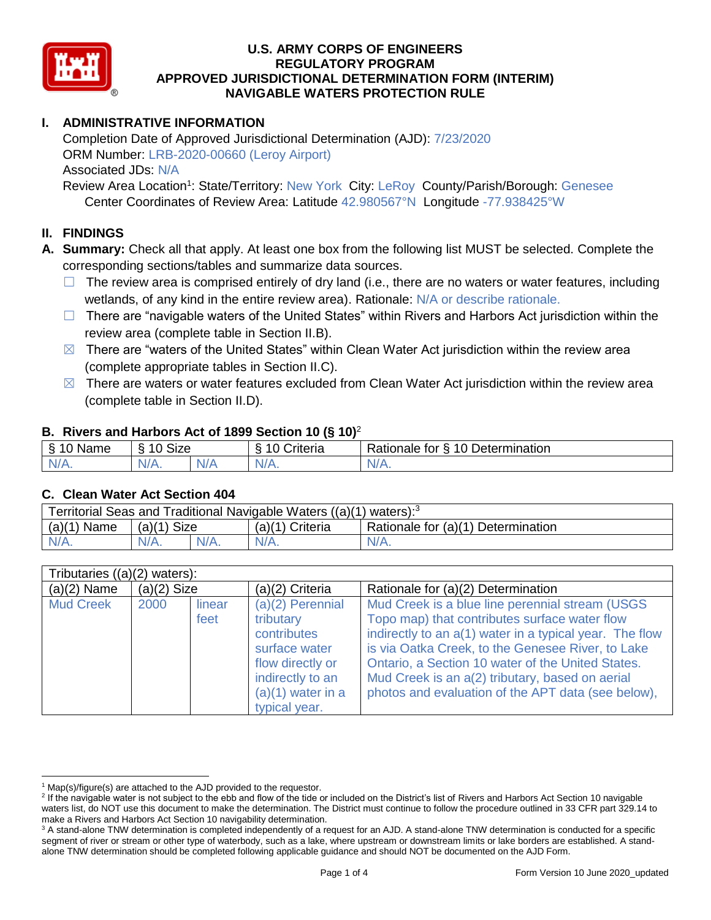

# **I. ADMINISTRATIVE INFORMATION**

Completion Date of Approved Jurisdictional Determination (AJD): 7/23/2020 ORM Number: LRB-2020-00660 (Leroy Airport) Associated JDs: N/A Review Area Location<sup>1</sup>: State/Territory: New York City: LeRoy County/Parish/Borough: Genesee

Center Coordinates of Review Area: Latitude 42.980567°N Longitude -77.938425°W

# **II. FINDINGS**

**A. Summary:** Check all that apply. At least one box from the following list MUST be selected. Complete the corresponding sections/tables and summarize data sources.

- $\Box$  The review area is comprised entirely of dry land (i.e., there are no waters or water features, including wetlands, of any kind in the entire review area). Rationale: N/A or describe rationale.
- $\Box$  There are "navigable waters of the United States" within Rivers and Harbors Act jurisdiction within the review area (complete table in Section II.B).
- $\boxtimes$  There are "waters of the United States" within Clean Water Act jurisdiction within the review area (complete appropriate tables in Section II.C).
- $\boxtimes$  There are waters or water features excluded from Clean Water Act jurisdiction within the review area (complete table in Section II.D).

#### **B. Rivers and Harbors Act of 1899 Section 10 (§ 10)**<sup>2</sup>

| . .                                        |                      |   |                                 |                                               |  |  |  |  |
|--------------------------------------------|----------------------|---|---------------------------------|-----------------------------------------------|--|--|--|--|
| £.<br>$-$<br>lame<br>$\tilde{\phantom{a}}$ | $\sim$<br>10<br>SIZE |   | $\cdots$<br>۱0<br>-<br>;riteria | Determination<br>$\Delta$<br>tor<br>Rationale |  |  |  |  |
| $N/A$ .                                    | N/A.                 | . | $N/A$ .                         | N/A.                                          |  |  |  |  |

#### **C. Clean Water Act Section 404**

| Territorial Seas and Traditional Navigable Waters $((a)(1)$ waters): <sup>3</sup> |               |  |                   |                                    |  |  |  |
|-----------------------------------------------------------------------------------|---------------|--|-------------------|------------------------------------|--|--|--|
| (a)(1)<br>`Name                                                                   | $(a)(1)$ Size |  | $(a)(1)$ Criteria | Rationale for (a)(1) Determination |  |  |  |
|                                                                                   | $N/A$ .       |  | $N/A$ .           | $N/A$ .                            |  |  |  |

| Tributaries $((a)(2)$ waters): |               |                |                                                                                                                                |                                                                                                                                                                                                                                                                                                                                                                                |  |  |  |  |
|--------------------------------|---------------|----------------|--------------------------------------------------------------------------------------------------------------------------------|--------------------------------------------------------------------------------------------------------------------------------------------------------------------------------------------------------------------------------------------------------------------------------------------------------------------------------------------------------------------------------|--|--|--|--|
| $(a)(2)$ Name                  | $(a)(2)$ Size |                | $(a)(2)$ Criteria                                                                                                              | Rationale for (a)(2) Determination                                                                                                                                                                                                                                                                                                                                             |  |  |  |  |
| <b>Mud Creek</b>               | 2000          | linear<br>feet | $(a)(2)$ Perennial<br>tributary<br>contributes<br>surface water<br>flow directly or<br>indirectly to an<br>$(a)(1)$ water in a | Mud Creek is a blue line perennial stream (USGS<br>Topo map) that contributes surface water flow<br>indirectly to an a(1) water in a typical year. The flow<br>is via Oatka Creek, to the Genesee River, to Lake<br>Ontario, a Section 10 water of the United States.<br>Mud Creek is an a(2) tributary, based on aerial<br>photos and evaluation of the APT data (see below), |  |  |  |  |
|                                |               |                | typical year.                                                                                                                  |                                                                                                                                                                                                                                                                                                                                                                                |  |  |  |  |

  $1$  Map(s)/figure(s) are attached to the AJD provided to the requestor.

<sup>&</sup>lt;sup>2</sup> If the navigable water is not subject to the ebb and flow of the tide or included on the District's list of Rivers and Harbors Act Section 10 navigable waters list, do NOT use this document to make the determination. The District must continue to follow the procedure outlined in 33 CFR part 329.14 to make a Rivers and Harbors Act Section 10 navigability determination.

<sup>&</sup>lt;sup>3</sup> A stand-alone TNW determination is completed independently of a request for an AJD. A stand-alone TNW determination is conducted for a specific segment of river or stream or other type of waterbody, such as a lake, where upstream or downstream limits or lake borders are established. A standalone TNW determination should be completed following applicable guidance and should NOT be documented on the AJD Form.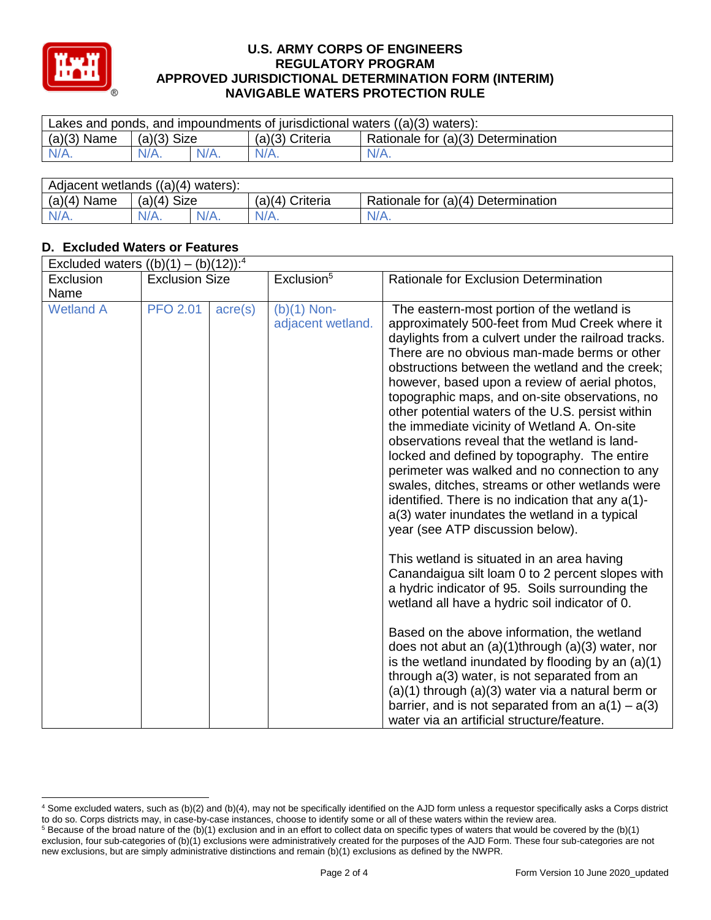

| Lakes and ponds, and impoundments of jurisdictional waters $((a)(3)$ waters): |                    |  |                 |                                    |  |  |  |
|-------------------------------------------------------------------------------|--------------------|--|-----------------|------------------------------------|--|--|--|
| $(a)(3)$ Name                                                                 | $(a)(3)$ Size      |  | (a)(3) Criteria | Rationale for (a)(3) Determination |  |  |  |
| $N/A$ .                                                                       | $N/A$ .<br>$N/A$ . |  | $N/A$ .         | $N/A$ .                            |  |  |  |
|                                                                               |                    |  |                 |                                    |  |  |  |

| Adjacent wetlands ((a)(4) waters): |               |  |                   |                                    |  |  |  |
|------------------------------------|---------------|--|-------------------|------------------------------------|--|--|--|
| $(a)(4)$ Name                      | $(a)(4)$ Size |  | $(a)(4)$ Criteria | Rationale for (a)(4) Determination |  |  |  |
|                                    | $N/A$ .       |  |                   | N/A.                               |  |  |  |

# **D. Excluded Waters or Features**

| Excluded waters $((b)(1) - (b)(12))$ : <sup>4</sup> |                       |                  |                                    |                                                                                                                                                                                                                                                                                                                                                                                                                                                                                                                                                                                                                                                                                                                                                                                                                                                                                                                                                                                                                                                                                                                                                                                                                                                                                                                                                                                                    |  |  |  |  |
|-----------------------------------------------------|-----------------------|------------------|------------------------------------|----------------------------------------------------------------------------------------------------------------------------------------------------------------------------------------------------------------------------------------------------------------------------------------------------------------------------------------------------------------------------------------------------------------------------------------------------------------------------------------------------------------------------------------------------------------------------------------------------------------------------------------------------------------------------------------------------------------------------------------------------------------------------------------------------------------------------------------------------------------------------------------------------------------------------------------------------------------------------------------------------------------------------------------------------------------------------------------------------------------------------------------------------------------------------------------------------------------------------------------------------------------------------------------------------------------------------------------------------------------------------------------------------|--|--|--|--|
| Exclusion<br>Name                                   | <b>Exclusion Size</b> |                  | Exclusion <sup>5</sup>             | Rationale for Exclusion Determination                                                                                                                                                                                                                                                                                                                                                                                                                                                                                                                                                                                                                                                                                                                                                                                                                                                                                                                                                                                                                                                                                                                                                                                                                                                                                                                                                              |  |  |  |  |
| <b>Wetland A</b>                                    | <b>PFO 2.01</b>       | $\text{acre}(s)$ | $(b)(1)$ Non-<br>adjacent wetland. | The eastern-most portion of the wetland is<br>approximately 500-feet from Mud Creek where it<br>daylights from a culvert under the railroad tracks.<br>There are no obvious man-made berms or other<br>obstructions between the wetland and the creek;<br>however, based upon a review of aerial photos,<br>topographic maps, and on-site observations, no<br>other potential waters of the U.S. persist within<br>the immediate vicinity of Wetland A. On-site<br>observations reveal that the wetland is land-<br>locked and defined by topography. The entire<br>perimeter was walked and no connection to any<br>swales, ditches, streams or other wetlands were<br>identified. There is no indication that any a(1)-<br>a(3) water inundates the wetland in a typical<br>year (see ATP discussion below).<br>This wetland is situated in an area having<br>Canandaigua silt loam 0 to 2 percent slopes with<br>a hydric indicator of 95. Soils surrounding the<br>wetland all have a hydric soil indicator of 0.<br>Based on the above information, the wetland<br>does not abut an $(a)(1)$ through $(a)(3)$ water, nor<br>is the wetland inundated by flooding by an $(a)(1)$<br>through a(3) water, is not separated from an<br>$(a)(1)$ through $(a)(3)$ water via a natural berm or<br>barrier, and is not separated from an $a(1) - a(3)$<br>water via an artificial structure/feature. |  |  |  |  |

 <sup>4</sup> Some excluded waters, such as (b)(2) and (b)(4), may not be specifically identified on the AJD form unless a requestor specifically asks a Corps district to do so. Corps districts may, in case-by-case instances, choose to identify some or all of these waters within the review area.

 $5$  Because of the broad nature of the (b)(1) exclusion and in an effort to collect data on specific types of waters that would be covered by the (b)(1) exclusion, four sub-categories of (b)(1) exclusions were administratively created for the purposes of the AJD Form. These four sub-categories are not new exclusions, but are simply administrative distinctions and remain (b)(1) exclusions as defined by the NWPR.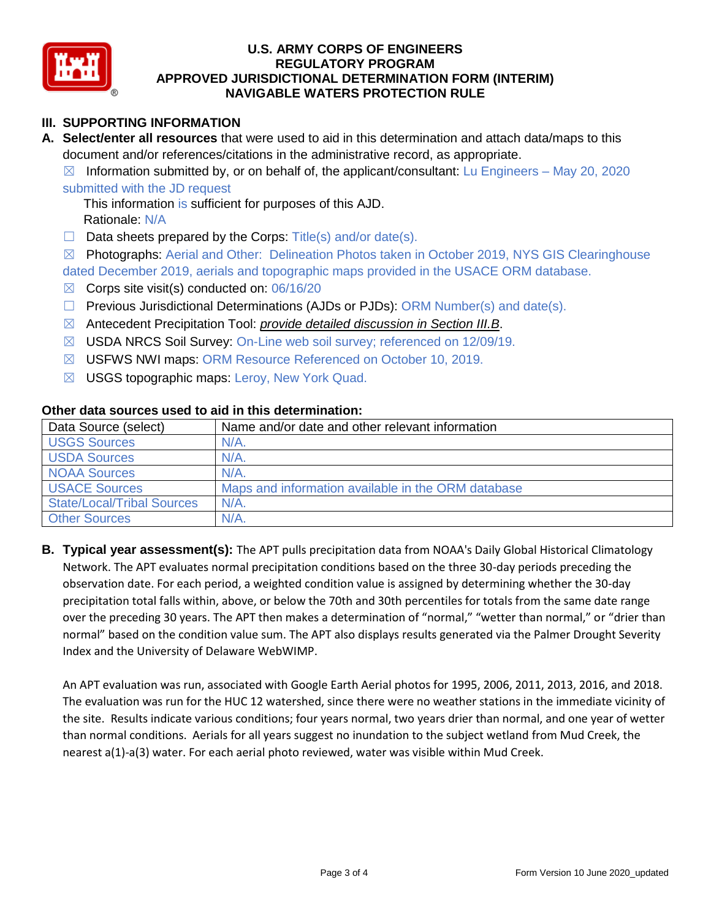

# **III. SUPPORTING INFORMATION**

**A. Select/enter all resources** that were used to aid in this determination and attach data/maps to this document and/or references/citations in the administrative record, as appropriate.

 $\boxtimes$  Information submitted by, or on behalf of, the applicant/consultant: Lu Engineers – May 20, 2020 submitted with the JD request

This information is sufficient for purposes of this AJD. Rationale: N/A

 $\Box$  Data sheets prepared by the Corps: Title(s) and/or date(s).

☒ Photographs: Aerial and Other: Delineation Photos taken in October 2019, NYS GIS Clearinghouse dated December 2019, aerials and topographic maps provided in the USACE ORM database.

- $\boxtimes$  Corps site visit(s) conducted on: 06/16/20
- ☐ Previous Jurisdictional Determinations (AJDs or PJDs): ORM Number(s) and date(s).
- ☒ Antecedent Precipitation Tool: *provide detailed discussion in Section III.B*.
- ☒ USDA NRCS Soil Survey: On-Line web soil survey; referenced on 12/09/19.
- ☒ USFWS NWI maps: ORM Resource Referenced on October 10, 2019.
- ☒ USGS topographic maps: Leroy, New York Quad.

| Data Source (select)              | Name and/or date and other relevant information    |  |  |  |  |
|-----------------------------------|----------------------------------------------------|--|--|--|--|
| <b>USGS Sources</b>               | N/A                                                |  |  |  |  |
| <b>USDA Sources</b>               | $N/A$ .                                            |  |  |  |  |
| <b>NOAA Sources</b>               | N/A                                                |  |  |  |  |
| <b>USACE Sources</b>              | Maps and information available in the ORM database |  |  |  |  |
| <b>State/Local/Tribal Sources</b> | $N/A$ .                                            |  |  |  |  |
| <b>Other Sources</b>              | N/A                                                |  |  |  |  |

#### **Other data sources used to aid in this determination:**

**B. Typical year assessment(s):** The APT pulls precipitation data from NOAA's Daily Global Historical Climatology Network. The APT evaluates normal precipitation conditions based on the three 30-day periods preceding the observation date. For each period, a weighted condition value is assigned by determining whether the 30-day precipitation total falls within, above, or below the 70th and 30th percentiles for totals from the same date range over the preceding 30 years. The APT then makes a determination of "normal," "wetter than normal," or "drier than normal" based on the condition value sum. The APT also displays results generated via the Palmer Drought Severity Index and the University of Delaware WebWIMP.

An APT evaluation was run, associated with Google Earth Aerial photos for 1995, 2006, 2011, 2013, 2016, and 2018. The evaluation was run for the HUC 12 watershed, since there were no weather stations in the immediate vicinity of the site. Results indicate various conditions; four years normal, two years drier than normal, and one year of wetter than normal conditions. Aerials for all years suggest no inundation to the subject wetland from Mud Creek, the nearest a(1)-a(3) water. For each aerial photo reviewed, water was visible within Mud Creek.